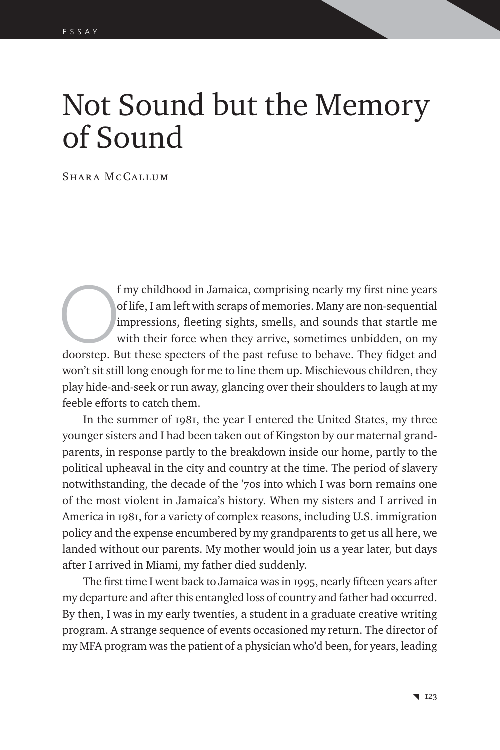## Not Sound but the Memory of Sound

Shara McCallum

f my childhood in Jamaica, comprising nearly my first nine years of life, I am left with scraps of memories. Many are non-sequential impressions, fleeting sights, smells, and sounds that startle me with their force when th of life, I am left with scraps of memories. Many are non-sequential impressions, fleeting sights, smells, and sounds that startle me with their force when they arrive, sometimes unbidden, on my won't sit still long enough for me to line them up. Mischievous children, they play hide-and-seek or run away, glancing over their shoulders to laugh at my feeble efforts to catch them.

In the summer of 1981, the year I entered the United States, my three younger sisters and I had been taken out of Kingston by our maternal grandparents, in response partly to the breakdown inside our home, partly to the political upheaval in the city and country at the time. The period of slavery notwithstanding, the decade of the '70s into which I was born remains one of the most violent in Jamaica's history. When my sisters and I arrived in America in 1981, for a variety of complex reasons, including U.S. immigration policy and the expense encumbered by my grandparents to get us all here, we landed without our parents. My mother would join us a year later, but days after I arrived in Miami, my father died suddenly.

The first time I went back to Jamaica was in 1995, nearly fifteen years after my departure and after this entangled loss of country and father had occurred. By then, I was in my early twenties, a student in a graduate creative writing program. A strange sequence of events occasioned my return. The director of my MFA program was the patient of a physician who'd been, for years, leading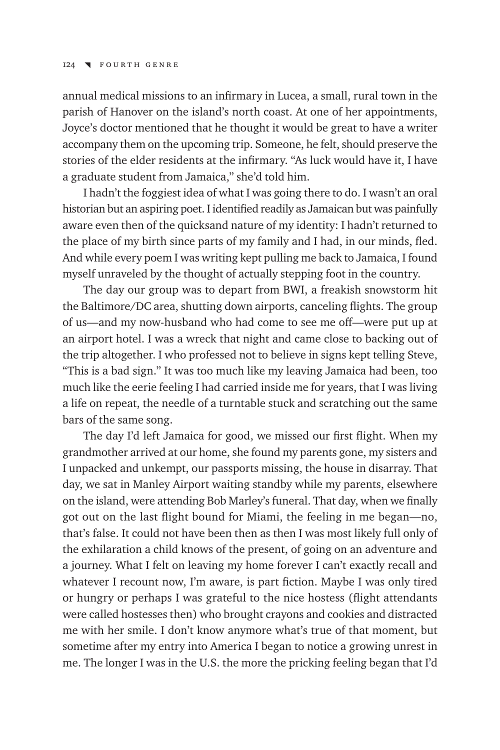## 124 \ FOURTH GENRE

annual medical missions to an infirmary in Lucea, a small, rural town in the parish of Hanover on the island's north coast. At one of her appointments, Joyce's doctor mentioned that he thought it would be great to have a writer accompany them on the upcoming trip. Someone, he felt, should preserve the stories of the elder residents at the infirmary. "As luck would have it, I have a graduate student from Jamaica," she'd told him.

I hadn't the foggiest idea of what I was going there to do. I wasn't an oral historian but an aspiring poet. I identified readily as Jamaican but was painfully aware even then of the quicksand nature of my identity: I hadn't returned to the place of my birth since parts of my family and I had, in our minds, fled. And while every poem I was writing kept pulling me back to Jamaica, I found myself unraveled by the thought of actually stepping foot in the country.

The day our group was to depart from BWI, a freakish snowstorm hit the Baltimore/DC area, shutting down airports, canceling flights. The group of us—and my now-husband who had come to see me off—were put up at an airport hotel. I was a wreck that night and came close to backing out of the trip altogether. I who professed not to believe in signs kept telling Steve, "This is a bad sign." It was too much like my leaving Jamaica had been, too much like the eerie feeling I had carried inside me for years, that I was living a life on repeat, the needle of a turntable stuck and scratching out the same bars of the same song.

The day I'd left Jamaica for good, we missed our first flight. When my grandmother arrived at our home, she found my parents gone, my sisters and I unpacked and unkempt, our passports missing, the house in disarray. That day, we sat in Manley Airport waiting standby while my parents, elsewhere on the island, were attending Bob Marley's funeral. That day, when we finally got out on the last flight bound for Miami, the feeling in me began—no, that's false. It could not have been then as then I was most likely full only of the exhilaration a child knows of the present, of going on an adventure and a journey. What I felt on leaving my home forever I can't exactly recall and whatever I recount now, I'm aware, is part fiction. Maybe I was only tired or hungry or perhaps I was grateful to the nice hostess (flight attendants were called hostesses then) who brought crayons and cookies and distracted me with her smile. I don't know anymore what's true of that moment, but sometime after my entry into America I began to notice a growing unrest in me. The longer I was in the U.S. the more the pricking feeling began that I'd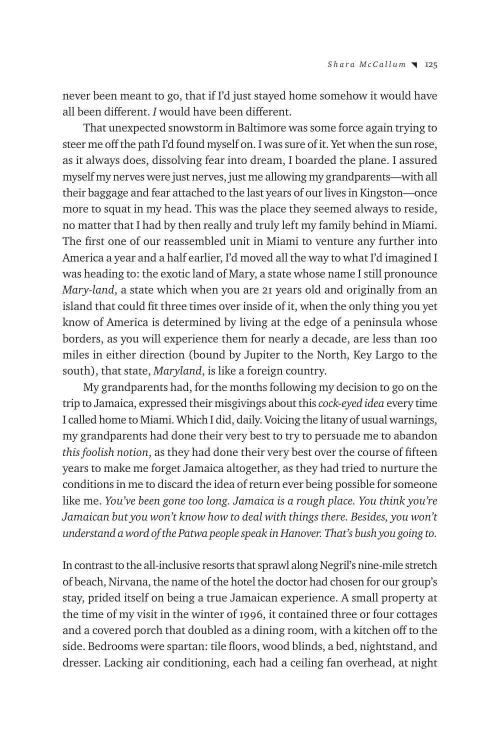never been meant to go, that if I'd just stayed home somehow it would have all been different. *I* would have been different.

That unexpected snowstorm in Baltimore was some force again trying to steer me off the path I'd found myself on. I was sure of it. Yet when the sun rose, as it always does, dissolving fear into dream, I boarded the plane. I assured myself my nerves were just nerves, just me allowing my grandparents—with all their baggage and fear attached to the last years of our lives in Kingston—once more to squat in my head. This was the place they seemed always to reside, no matter that I had by then really and truly left my family behind in Miami. The first one of our reassembled unit in Miami to venture any further into America a year and a half earlier, I'd moved all the way to what I'd imagined I was heading to: the exotic land of Mary, a state whose name I still pronounce *Mary-land*, a state which when you are 21 years old and originally from an island that could fit three times over inside of it, when the only thing you yet know of America is determined by living at the edge of a peninsula whose borders, as you will experience them for nearly a decade, are less than 100 miles in either direction (bound by Jupiter to the North, Key Largo to the south), that state, *Maryland*, is like a foreign country.

My grandparents had, for the months following my decision to go on the trip to Jamaica, expressed their misgivings about this *cock-eyed idea* every time I called home to Miami. Which I did, daily. Voicing the litany of usual warnings, my grandparents had done their very best to try to persuade me to abandon this foolish notion, as they had done their very best over the course of fifteen years to make me forget Jamaica altogether, as they had tried to nurture the conditions in me to discard the idea of return ever being possible for someone like me. *You've been gone too long. Jamaica is a rough place. You think you're*  Jamaican but you won't know how to deal with things there. Besides, you won't *understand a word of the Patwa people speak in Hanover. That's bush you going to.*

In contrast to the all-inclusive resorts that sprawl along Negril's nine-mile stretch of beach, Nirvana, the name of the hotel the doctor had chosen for our group's stay, prided itself on being a true Jamaican experience. A small property at the time of my visit in the winter of 1996, it contained three or four cottages and a covered porch that doubled as a dining room, with a kitchen off to the side. Bedrooms were spartan: tile floors, wood blinds, a bed, nightstand, and dresser. Lacking air conditioning, each had a ceiling fan overhead, at night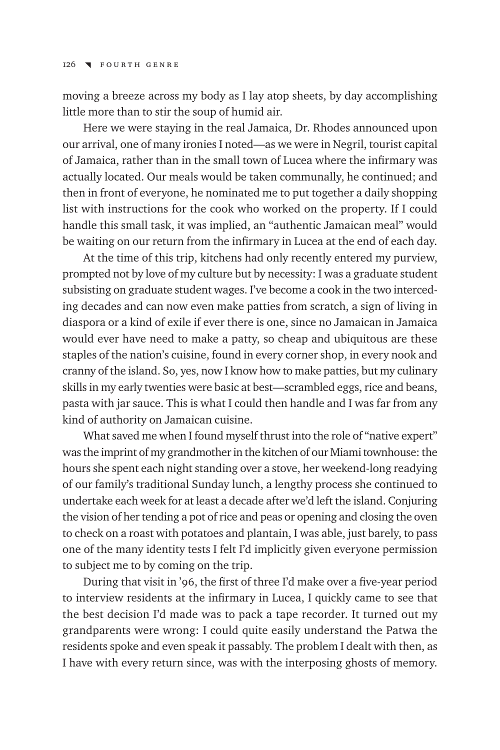moving a breeze across my body as I lay atop sheets, by day accomplishing little more than to stir the soup of humid air.

Here we were staying in the real Jamaica, Dr. Rhodes announced upon our arrival, one of many ironies I noted—as we were in Negril, tourist capital of Jamaica, rather than in the small town of Lucea where the infirmary was actually located. Our meals would be taken communally, he continued; and then in front of everyone, he nominated me to put together a daily shopping list with instructions for the cook who worked on the property. If I could handle this small task, it was implied, an "authentic Jamaican meal" would be waiting on our return from the infirmary in Lucea at the end of each day.

At the time of this trip, kitchens had only recently entered my purview, prompted not by love of my culture but by necessity: I was a graduate student subsisting on graduate student wages. I've become a cook in the two interceding decades and can now even make patties from scratch, a sign of living in diaspora or a kind of exile if ever there is one, since no Jamaican in Jamaica would ever have need to make a patty, so cheap and ubiquitous are these staples of the nation's cuisine, found in every corner shop, in every nook and cranny of the island. So, yes, now I know how to make patties, but my culinary skills in my early twenties were basic at best—scrambled eggs, rice and beans, pasta with jar sauce. This is what I could then handle and I was far from any kind of authority on Jamaican cuisine.

What saved me when I found myself thrust into the role of "native expert" was the imprint of my grandmother in the kitchen of our Miami townhouse: the hours she spent each night standing over a stove, her weekend-long readying of our family's traditional Sunday lunch, a lengthy process she continued to undertake each week for at least a decade after we'd left the island. Conjuring the vision of her tending a pot of rice and peas or opening and closing the oven to check on a roast with potatoes and plantain, I was able, just barely, to pass one of the many identity tests I felt I'd implicitly given everyone permission to subject me to by coming on the trip.

During that visit in '96, the first of three I'd make over a five-year period to interview residents at the infirmary in Lucea, I quickly came to see that the best decision I'd made was to pack a tape recorder. It turned out my grandparents were wrong: I could quite easily understand the Patwa the residents spoke and even speak it passably. The problem I dealt with then, as I have with every return since, was with the interposing ghosts of memory.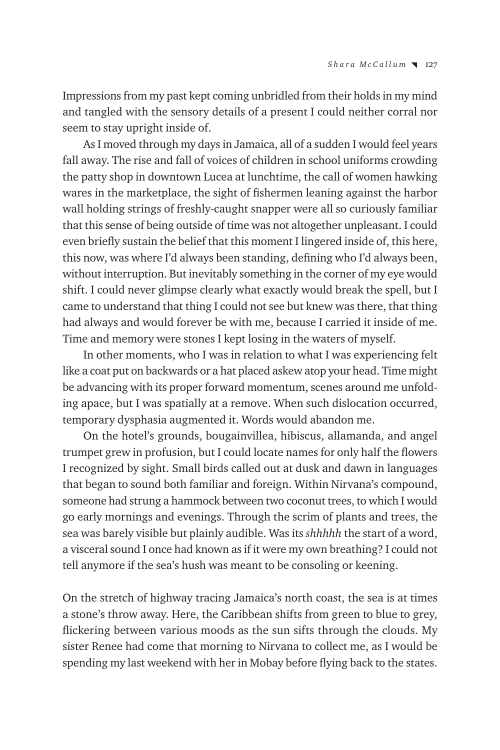Impressions from my past kept coming unbridled from their holds in my mind and tangled with the sensory details of a present I could neither corral nor seem to stay upright inside of.

As I moved through my days in Jamaica, all of a sudden I would feel years fall away. The rise and fall of voices of children in school uniforms crowding the patty shop in downtown Lucea at lunchtime, the call of women hawking wares in the marketplace, the sight of fishermen leaning against the harbor wall holding strings of freshly-caught snapper were all so curiously familiar that this sense of being outside of time was not altogether unpleasant. I could even briefly sustain the belief that this moment I lingered inside of, this here, this now, was where I'd always been standing, defining who I'd always been, without interruption. But inevitably something in the corner of my eye would shift. I could never glimpse clearly what exactly would break the spell, but I came to understand that thing I could not see but knew was there, that thing had always and would forever be with me, because I carried it inside of me. Time and memory were stones I kept losing in the waters of myself.

In other moments, who I was in relation to what I was experiencing felt like a coat put on backwards or a hat placed askew atop your head. Time might be advancing with its proper forward momentum, scenes around me unfolding apace, but I was spatially at a remove. When such dislocation occurred, temporary dysphasia augmented it. Words would abandon me.

On the hotel's grounds, bougainvillea, hibiscus, allamanda, and angel trumpet grew in profusion, but I could locate names for only half the flowers I recognized by sight. Small birds called out at dusk and dawn in languages that began to sound both familiar and foreign. Within Nirvana's compound, someone had strung a hammock between two coconut trees, to which I would go early mornings and evenings. Through the scrim of plants and trees, the sea was barely visible but plainly audible. Was its *shhhhh* the start of a word, a visceral sound I once had known as if it were my own breathing? I could not tell anymore if the sea's hush was meant to be consoling or keening.

On the stretch of highway tracing Jamaica's north coast, the sea is at times a stone's throw away. Here, the Caribbean shifts from green to blue to grey, flickering between various moods as the sun sifts through the clouds. My sister Renee had come that morning to Nirvana to collect me, as I would be spending my last weekend with her in Mobay before flying back to the states.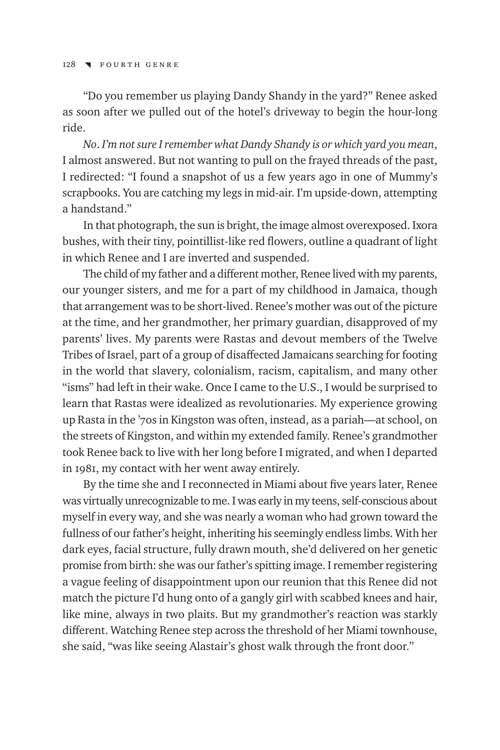"Do you remember us playing Dandy Shandy in the yard?" Renee asked as soon after we pulled out of the hotel's driveway to begin the hour-long ride.

*No*. *I'm not sure I remember what Dandy Shandy is or which yard you mean*, I almost answered. But not wanting to pull on the frayed threads of the past, I redirected: "I found a snapshot of us a few years ago in one of Mummy's scrapbooks. You are catching my legs in mid-air. I'm upside-down, attempting a handstand."

In that photograph, the sun is bright, the image almost overexposed. Ixora bushes, with their tiny, pointillist-like red flowers, outline a quadrant of light in which Renee and I are inverted and suspended.

The child of my father and a different mother, Renee lived with my parents, our younger sisters, and me for a part of my childhood in Jamaica, though that arrangement was to be short-lived. Renee's mother was out of the picture at the time, and her grandmother, her primary guardian, disapproved of my parents' lives. My parents were Rastas and devout members of the Twelve Tribes of Israel, part of a group of disaffected Jamaicans searching for footing in the world that slavery, colonialism, racism, capitalism, and many other "isms" had left in their wake. Once I came to the U.S., I would be surprised to learn that Rastas were idealized as revolutionaries. My experience growing up Rasta in the '70s in Kingston was often, instead, as a pariah—at school, on the streets of Kingston, and within my extended family. Renee's grandmother took Renee back to live with her long before I migrated, and when I departed in 1981, my contact with her went away entirely.

By the time she and I reconnected in Miami about five years later, Renee was virtually unrecognizable to me. I was early in my teens, self-conscious about myself in every way, and she was nearly a woman who had grown toward the fullness of our father's height, inheriting his seemingly endless limbs. With her dark eyes, facial structure, fully drawn mouth, she'd delivered on her genetic promise from birth: she was our father's spitting image. I remember registering a vague feeling of disappointment upon our reunion that this Renee did not match the picture I'd hung onto of a gangly girl with scabbed knees and hair, like mine, always in two plaits. But my grandmother's reaction was starkly different. Watching Renee step across the threshold of her Miami townhouse, she said, "was like seeing Alastair's ghost walk through the front door."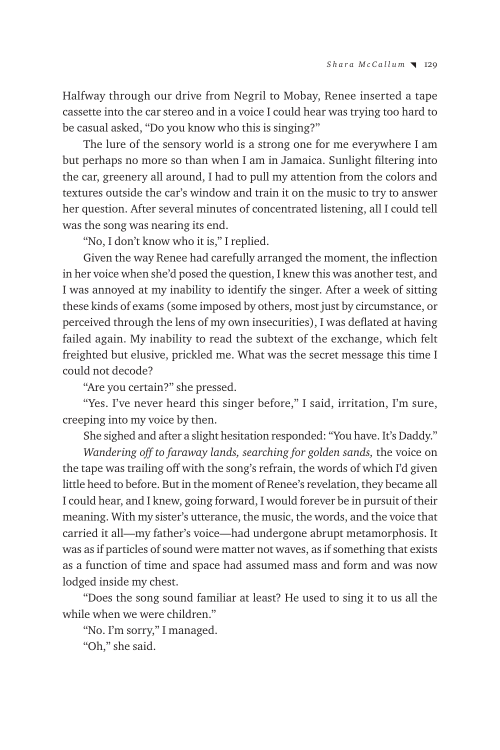Halfway through our drive from Negril to Mobay, Renee inserted a tape cassette into the car stereo and in a voice I could hear was trying too hard to be casual asked, "Do you know who this is singing?"

The lure of the sensory world is a strong one for me everywhere I am but perhaps no more so than when I am in Jamaica. Sunlight filtering into the car, greenery all around, I had to pull my attention from the colors and textures outside the car's window and train it on the music to try to answer her question. After several minutes of concentrated listening, all I could tell was the song was nearing its end.

"No, I don't know who it is," I replied.

Given the way Renee had carefully arranged the moment, the inflection in her voice when she'd posed the question, I knew this was another test, and I was annoyed at my inability to identify the singer. After a week of sitting these kinds of exams (some imposed by others, most just by circumstance, or perceived through the lens of my own insecurities), I was deflated at having failed again. My inability to read the subtext of the exchange, which felt freighted but elusive, prickled me. What was the secret message this time I could not decode?

"Are you certain?" she pressed.

"Yes. I've never heard this singer before," I said, irritation, I'm sure, creeping into my voice by then.

She sighed and after a slight hesitation responded: "You have. It's Daddy."

*Wandering off to faraway lands, searching for golden sands,* the voice on the tape was trailing off with the song's refrain, the words of which I'd given little heed to before. But in the moment of Renee's revelation, they became all I could hear, and I knew, going forward, I would forever be in pursuit of their meaning. With my sister's utterance, the music, the words, and the voice that carried it all—my father's voice—had undergone abrupt metamorphosis. It was as if particles of sound were matter not waves, as if something that exists as a function of time and space had assumed mass and form and was now lodged inside my chest.

"Does the song sound familiar at least? He used to sing it to us all the while when we were children."

"No. I'm sorry," I managed.

"Oh," she said.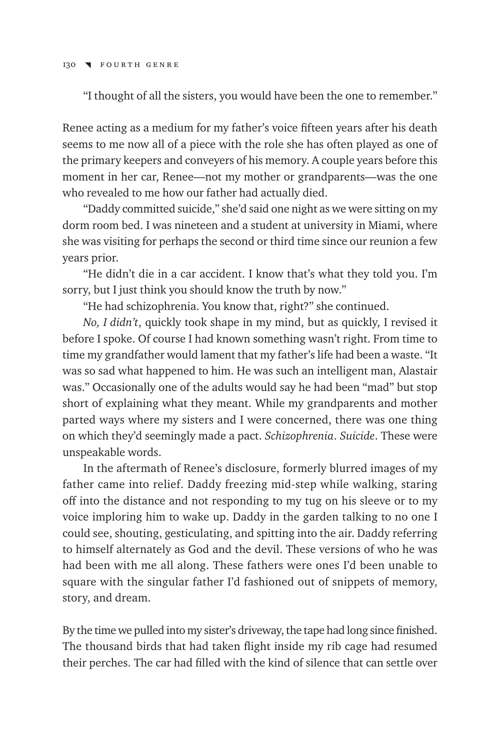## 130 \ FOURTH GENRE

"I thought of all the sisters, you would have been the one to remember."

Renee acting as a medium for my father's voice fifteen years after his death seems to me now all of a piece with the role she has often played as one of the primary keepers and conveyers of his memory. A couple years before this moment in her car, Renee—not my mother or grandparents—was the one who revealed to me how our father had actually died.

"Daddy committed suicide," she'd said one night as we were sitting on my dorm room bed. I was nineteen and a student at university in Miami, where she was visiting for perhaps the second or third time since our reunion a few years prior.

"He didn't die in a car accident. I know that's what they told you. I'm sorry, but I just think you should know the truth by now."

"He had schizophrenia. You know that, right?" she continued.

*No, I didn't*, quickly took shape in my mind, but as quickly, I revised it before I spoke. Of course I had known something wasn't right. From time to time my grandfather would lament that my father's life had been a waste. "It was so sad what happened to him. He was such an intelligent man, Alastair was." Occasionally one of the adults would say he had been "mad" but stop short of explaining what they meant. While my grandparents and mother parted ways where my sisters and I were concerned, there was one thing on which they'd seemingly made a pact. *Schizophrenia*. *Suicide*. These were unspeakable words.

In the aftermath of Renee's disclosure, formerly blurred images of my father came into relief. Daddy freezing mid-step while walking, staring off into the distance and not responding to my tug on his sleeve or to my voice imploring him to wake up. Daddy in the garden talking to no one I could see, shouting, gesticulating, and spitting into the air. Daddy referring to himself alternately as God and the devil. These versions of who he was had been with me all along. These fathers were ones I'd been unable to square with the singular father I'd fashioned out of snippets of memory, story, and dream.

By the time we pulled into my sister's driveway, the tape had long since finished. The thousand birds that had taken flight inside my rib cage had resumed their perches. The car had filled with the kind of silence that can settle over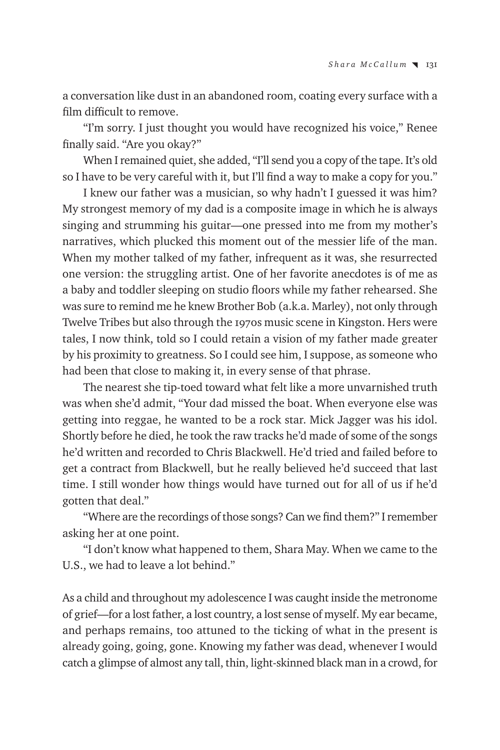a conversation like dust in an abandoned room, coating every surface with a film difficult to remove.

"I'm sorry. I just thought you would have recognized his voice," Renee finally said. "Are you okay?"

When I remained quiet, she added, "I'll send you a copy of the tape. It's old so I have to be very careful with it, but I'll find a way to make a copy for you."

I knew our father was a musician, so why hadn't I guessed it was him? My strongest memory of my dad is a composite image in which he is always singing and strumming his guitar—one pressed into me from my mother's narratives, which plucked this moment out of the messier life of the man. When my mother talked of my father, infrequent as it was, she resurrected one version: the struggling artist. One of her favorite anecdotes is of me as a baby and toddler sleeping on studio floors while my father rehearsed. She was sure to remind me he knew Brother Bob (a.k.a. Marley), not only through Twelve Tribes but also through the 1970s music scene in Kingston. Hers were tales, I now think, told so I could retain a vision of my father made greater by his proximity to greatness. So I could see him, I suppose, as someone who had been that close to making it, in every sense of that phrase.

The nearest she tip-toed toward what felt like a more unvarnished truth was when she'd admit, "Your dad missed the boat. When everyone else was getting into reggae, he wanted to be a rock star. Mick Jagger was his idol. Shortly before he died, he took the raw tracks he'd made of some of the songs he'd written and recorded to Chris Blackwell. He'd tried and failed before to get a contract from Blackwell, but he really believed he'd succeed that last time. I still wonder how things would have turned out for all of us if he'd gotten that deal."

"Where are the recordings of those songs? Can we find them?" I remember asking her at one point.

"I don't know what happened to them, Shara May. When we came to the U.S., we had to leave a lot behind."

As a child and throughout my adolescence I was caught inside the metronome of grief—for a lost father, a lost country, a lost sense of myself. My ear became, and perhaps remains, too attuned to the ticking of what in the present is already going, going, gone. Knowing my father was dead, whenever I would catch a glimpse of almost any tall, thin, light-skinned black man in a crowd, for